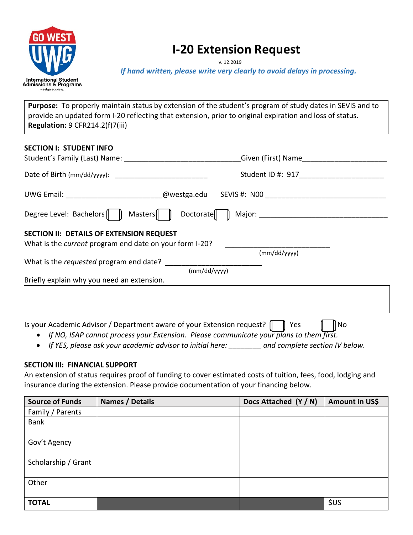

# **I-20 Extension Request**

v. 12.2019

*If hand written, please write very clearly to avoid delays in processing.* 

**Purpose:** To properly maintain status by extension of the student's program of study dates in SEVIS and to provide an updated form I-20 reflecting that extension, prior to original expiration and loss of status. **Regulation:** 9 CFR214.2(f)7(iii)

| <b>SECTION I: STUDENT INFO</b>                                                                                    |                                                                                  |
|-------------------------------------------------------------------------------------------------------------------|----------------------------------------------------------------------------------|
|                                                                                                                   | Student ID #: 917                                                                |
|                                                                                                                   | UWG Email: _________________________@westga.edu SEVIS #: N00 ___________________ |
| Degree Level: Bachelors $\parallel$ $\parallel$ Masters $\parallel$ $\parallel$                                   | Doctorate $\ \ \ $                                                               |
| <b>SECTION II: DETAILS OF EXTENSION REQUEST</b><br>What is the <i>current</i> program end date on your form I-20? | (mm/dd/yyyy)                                                                     |
|                                                                                                                   | (mm/dd/yyyy)                                                                     |
| Briefly explain why you need an extension.                                                                        |                                                                                  |
|                                                                                                                   |                                                                                  |

Is your Academic Advisor / Department aware of your Extension request?  $\Box$  Yes  $\P$  No

- *If NO, ISAP cannot process your Extension. Please communicate your plans to them first.*
- *If YES, please ask your academic advisor to initial here: \_\_\_\_\_\_\_\_ and complete section IV below.*

# **SECTION III: FINANCIAL SUPPORT**

An extension of status requires proof of funding to cover estimated costs of tuition, fees, food, lodging and insurance during the extension. Please provide documentation of your financing below.

| <b>Source of Funds</b> | Names / Details | Docs Attached (Y / N) | Amount in US\$ |
|------------------------|-----------------|-----------------------|----------------|
| Family / Parents       |                 |                       |                |
| <b>Bank</b>            |                 |                       |                |
| Gov't Agency           |                 |                       |                |
| Scholarship / Grant    |                 |                       |                |
| Other                  |                 |                       |                |
| <b>TOTAL</b>           |                 |                       | \$US           |